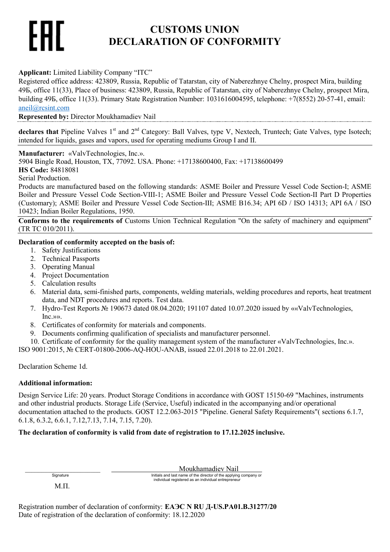# **CUSTOMS UNION DECLARATION OF CONFORMITY**

# **Applicant:** Limited Liability Company "ITC"

Registered office address: 423809, Russia, Republic of Tatarstan, city of Naberezhnye Chelny, prospect Mira, building 49Б, office 11(33), Place of business: 423809, Russia, Republic of Tatarstan, city of Naberezhnye Chelny, prospect Mira, building 49Б, office 11(33). Primary State Registration Number: 1031616004595, telephone: +7(8552) 20-57-41, email: [aneil@rcsint.com](mailto:aneil@rcsint.com)

**Represented by:** Director Moukhamadiev Nail

declares that Pipeline Valves 1<sup>st</sup> and 2<sup>nd</sup> Category: Ball Valves, type V, Nextech, Truntech; Gate Valves, type Isotech; intended for liquids, gases and vapors, used for operating mediums Group I and II.

**Manufacturer:** «ValvTechnologies, Inc.».

5904 Bingle Road, Houston, TX, 77092. USA. Phone: +17138600400, Fax: +17138600499

**HS Сode:** 84818081

Serial Production.

Products are manufactured based on the following standards: ASME Boiler and Pressure Vessel Code Section-I; ASME Boiler and Pressure Vessel Code Section-VIII-1; ASME Boiler and Pressure Vessel Code Section-II Part D Properties (Customary); ASME Boiler and Pressure Vessel Code Section-III; ASME B16.34; API 6D / ISO 14313; API 6A / ISO 10423; Indian Boiler Regulations, 1950.

**Conforms to the requirements of** Customs Union Technical Regulation "On the safety of machinery and equipment" (TR TC 010/2011).

# **Declaration of conformity accepted on the basis of:**

- 1. Safety Justifications
- 2. Technical Passports
- 3. Operating Manual
- 4. Project Documentation
- 5. Calculation results
- 6. Material data, semi-finished parts, components, welding materials, welding procedures and reports, heat treatment data, and NDT procedures and reports. Test data.
- 7. Hydro-Test Reports № 190673 dated 08.04.2020; 191107 dated 10.07.2020 issued by ««ValvTechnologies, Inc.»».
- 8. Certificates of conformity for materials and components.
- 9. Documents confirming qualification of specialists and manufacturer personnel.
- 10. Certificate of conformity for the quality management system of the manufacturer «ValvTechnologies, Inc.».

ISO 9001:2015, № CERT-01800-2006-AQ-HOU-ANAB, issued 22.01.2018 to 22.01.2021.

Declaration Scheme 1d.

## **Additional information:**

Design Service Life: 20 years. Product Storage Conditions in accordance with GOST 15150-69 "Machines, instruments and other industrial products. Storage Life (Service, Useful) indicated in the accompanying and/or operational documentation attached to the products. GOST 12.2.063-2015 "Pipeline. General Safety Requirements"( sections 6.1.7, 6.1.8, 6.3.2, 6.6.1, 7.12,7.13, 7.14, 7.15, 7.20).

# **The declaration of conformity is valid from date of registration to 17.12.2025 inclusive.**

Signature **Initials and last name of the director of the applying company or** . Signature **Initials and last name of the director of the applying company or**  $individual$  registered as an individual entrepreneur

М.П.

Registration number of declaration of conformity: **ЕАЭС N RU Д-US.РА01.В.31277/20** Date of registration of the declaration of conformity: 18.12.2020